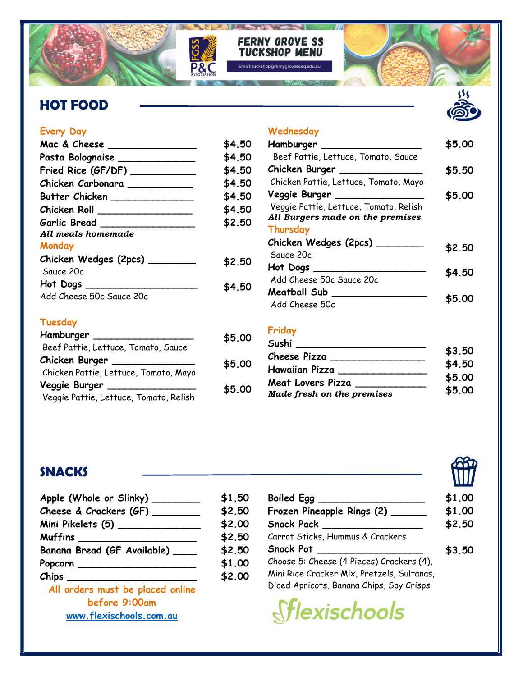

### **FERNY GROVE SS TUCKSHOP MENU**

# HOT FOOD



| Mac & Cheese             | \$4.50 |
|--------------------------|--------|
| Pasta Bolognaise __      | \$4.50 |
| Fried Rice (GF/DF) __    | \$4.50 |
| Chicken Carbonara        | \$4.50 |
| Butter Chicken           | \$4.50 |
| Chicken Roll             | \$4.50 |
| Garlic Bread             | \$2.50 |
| All meals homemade       |        |
| Monday                   |        |
| Chicken Wedges (2pcs) __ | \$2.50 |
| Sauce 20c                |        |
| Hot Dogs                 | \$4.50 |
| Add Cheese 50c Sauce 20c |        |
|                          |        |

## Tuesday

| Hamburger                              | \$5.00 |
|----------------------------------------|--------|
| Beef Pattie, Lettuce, Tomato, Sauce    |        |
| Chicken Burger                         | \$5.00 |
| Chicken Pattie, Lettuce, Tomato, Mayo  |        |
| Veggie Burger                          | \$5.00 |
| Veggie Pattie, Lettuce, Tomato, Relish |        |

#### Wednesday

| Hamburger                              | \$5.00 |
|----------------------------------------|--------|
| Beef Pattie, Lettuce, Tomato, Sauce    |        |
| Chicken Burger                         | \$5.50 |
| Chicken Pattie, Lettuce, Tomato, Mayo  |        |
| Veggie Burger _______________          | \$5.00 |
| Veggie Pattie, Lettuce, Tomato, Relish |        |
| All Burgers made on the premises       |        |
| Thursday                               |        |
| Chicken Wedges (2pcs) ___              | \$2.50 |
| Sauce 20c                              |        |
| Hot Dogs                               | \$4.50 |
| Add Cheese 50c Sauce 20c               |        |
| Meatball Sub                           |        |
| Add Cheese 50c                         | S5.OC  |

## Friday

| Sushi                      |        |
|----------------------------|--------|
| Cheese Pizza               | \$3.50 |
| <b>Hawaiian Pizza</b>      | \$4.50 |
| Meat Lovers Pizza          | \$5.00 |
| Made fresh on the premises | \$5.00 |

## **SNACKS**

| Apple (Whole or Slinky) ________ | \$1.50 |
|----------------------------------|--------|
| Cheese & Crackers (GF) ___       | \$2.50 |
| Mini Pikelets (5) ________       | \$2.00 |
| Muffins ____________________     | \$2.50 |
| Banana Bread (GF Available) ____ | \$2.50 |
| Popcorn ___                      | \$1.00 |
|                                  | \$2.00 |
| All orders must be placed online |        |
| hafana 9.00am                    |        |

ore 9:00am www.flexischools.com.au

| <b>Boiled Egg</b>                          | \$1.00 |
|--------------------------------------------|--------|
| Frozen Pineapple Rings (2)                 | \$1.00 |
| <b>Snack Pack</b>                          | \$2.50 |
| Carrot Sticks, Hummus & Crackers           |        |
| <b>Snack Pot</b>                           | \$3.50 |
| Choose 5: Cheese (4 Pieces) Crackers (4),  |        |
| Mini Rice Cracker Mix, Pretzels, Sultanas, |        |
| Diced Apricots, Banana Chips, Soy Crisps   |        |
|                                            |        |

*<u>Stlexischools</u>* 



Suns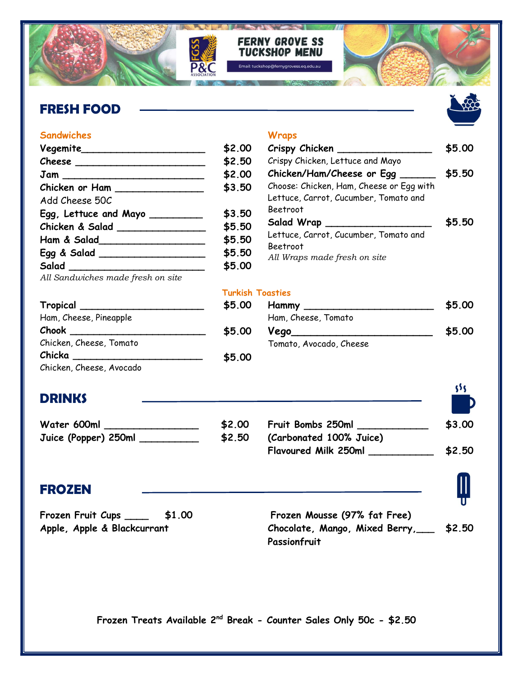

#### **Sandwiches**

| Vegemite                                    | \$2.00 |
|---------------------------------------------|--------|
| $\mathcal{C}$ heese                         | \$2.50 |
| $\mathsf{Jam} \xrightarrow{\qquad \qquad }$ | \$2.00 |
| Chicken or Ham                              | \$3.50 |
| Add Cheese 50C                              |        |
| Egg, Lettuce and Mayo _________             | \$3.50 |
| Chicken & Salad _______________             | \$5.50 |
| Ham & Salad_______________________          | \$5.50 |
| Egg & Salad ________________                | \$5.50 |
| Salad                                       | \$5.00 |
| All Sandwiches made fresh on site           |        |

#### **Wraps**

| Crispy Chicken                           | \$5.00 |
|------------------------------------------|--------|
| Crispy Chicken, Lettuce and Mayo         |        |
| Chicken/Ham/Cheese or Egg                | \$5.50 |
| Choose: Chicken, Ham, Cheese or Egg with |        |
| Lettuce, Carrot, Cucumber, Tomato and    |        |
| Beetroot                                 |        |
| Salad Wrap                               | \$5.50 |
| Lettuce, Carrot, Cucumber, Tomato and    |        |
| Beetroot                                 |        |
| All Wraps made fresh on site             |        |

#### Turkish Toasties

| Tropical                | \$5.00 | Hammy                   | \$5.00 |
|-------------------------|--------|-------------------------|--------|
| Ham, Cheese, Pineapple  |        | Ham, Cheese, Tomato     |        |
| Chook                   | \$5.00 | Vego_                   | \$5.00 |
| Chicken, Cheese, Tomato |        | Tomato, Avocado, Cheese |        |
| Chicka                  | \$5.00 |                         |        |
| $-20$ $-1$ $-20$        |        |                         |        |

Chicken, Cheese, Avocado

# **DRINKS**

| Water 600ml          | \$2.0 |
|----------------------|-------|
| Juice (Popper) 250ml | \$2.5 |

#### $\overline{0}$  $\overline{0}$ Fruit Bombs 250ml \_\_\_\_\_\_\_\_\_\_\_\_ (Carbonated 100% Juice) Flavoured Milk 250ml \_\_\_\_\_\_\_\_\_\_\_ \$3.00 \$2.50

 $555$ 

# FROZEN

Frozen Fruit Cups \_\_\_\_ \$1.00 Apple, Apple & Blackcurrant

Frozen Mousse (97% fat Free) Chocolate, Mango, Mixed Berry,\_\_\_ **Passionfruit** \$2.50

Frozen Treats Available 2nd Break - Counter Sales Only 50c - \$2.50